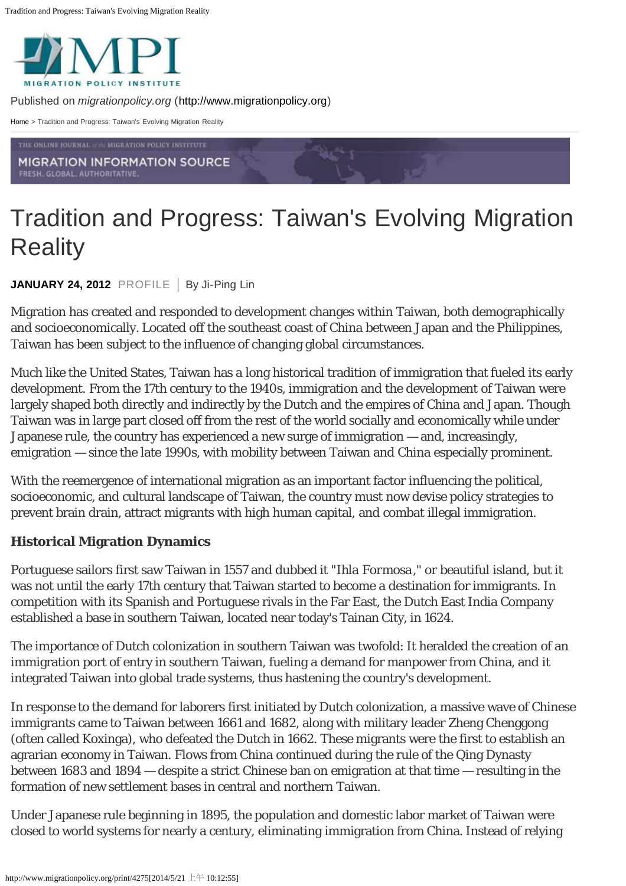

Published on *migrationpolicy.org* ([http://www.migrationpolicy.org](http://www.migrationpolicy.org/))

[Home](http://www.migrationpolicy.org/) > Tradition and Progress: Taiwan's Evolving Migration Reality

**MIGRATION INFORMATION SOURCE** FRESH. GLOBAL. AUTHORITATIVE

# Tradition and Progress: Taiwan's Evolving Migration **Reality**

JANUARY 24, 2012 PROFILE | By Ji-Ping Lin

Migration has created and responded to development changes within Taiwan, both demographically and socioeconomically. Located off the southeast coast of China between Japan and the Philippines, Taiwan has been subject to the influence of changing global circumstances.

Much like the United States, Taiwan has a long historical tradition of immigration that fueled its early development. From the 17th century to the 1940s, immigration and the development of Taiwan were largely shaped both directly and indirectly by the Dutch and the empires of China and Japan. Though Taiwan was in large part closed off from the rest of the world socially and economically while under Japanese rule, the country has experienced a new surge of immigration — and, increasingly, emigration — since the late 1990s, with mobility between Taiwan and China especially prominent.

With the reemergence of international migration as an important factor influencing the political, socioeconomic, and cultural landscape of Taiwan, the country must now devise policy strategies to prevent brain drain, attract migrants with high human capital, and combat illegal immigration.

## **Historical Migration Dynamics**

Portuguese sailors first saw Taiwan in 1557 and dubbed it "*Ihla Formosa*," or beautiful island, but it was not until the early 17th century that Taiwan started to become a destination for immigrants. In competition with its Spanish and Portuguese rivals in the Far East, the Dutch East India Company established a base in southern Taiwan, located near today's Tainan City, in 1624.

The importance of Dutch colonization in southern Taiwan was twofold: It heralded the creation of an immigration port of entry in southern Taiwan, fueling a demand for manpower from China, and it integrated Taiwan into global trade systems, thus hastening the country's development.

In response to the demand for laborers first initiated by Dutch colonization, a massive wave of Chinese immigrants came to Taiwan between 1661 and 1682, along with military leader Zheng Chenggong (often called Koxinga), who defeated the Dutch in 1662. These migrants were the first to establish an agrarian economy in Taiwan. Flows from China continued during the rule of the Qing Dynasty between 1683 and 1894 — despite a strict Chinese ban on emigration at that time — resulting in the formation of new settlement bases in central and northern Taiwan.

Under Japanese rule beginning in 1895, the population and domestic labor market of Taiwan were closed to world systems for nearly a century, eliminating immigration from China. Instead of relying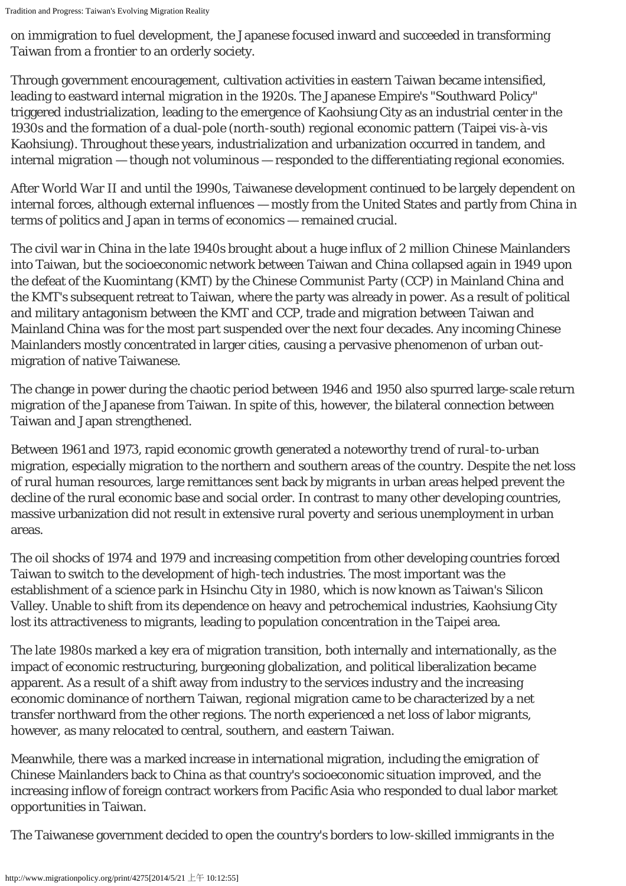on immigration to fuel development, the Japanese focused inward and succeeded in transforming Taiwan from a frontier to an orderly society.

Through government encouragement, cultivation activities in eastern Taiwan became intensified, leading to eastward internal migration in the 1920s. The Japanese Empire's "Southward Policy" triggered industrialization, leading to the emergence of Kaohsiung City as an industrial center in the 1930s and the formation of a dual-pole (north-south) regional economic pattern (Taipei vis-à-vis Kaohsiung). Throughout these years, industrialization and urbanization occurred in tandem, and internal migration — though not voluminous — responded to the differentiating regional economies.

After World War II and until the 1990s, Taiwanese development continued to be largely dependent on internal forces, although external influences — mostly from the United States and partly from China in terms of politics and Japan in terms of economics — remained crucial.

The civil war in China in the late 1940s brought about a huge influx of 2 million Chinese Mainlanders into Taiwan, but the socioeconomic network between Taiwan and China collapsed again in 1949 upon the defeat of the Kuomintang (KMT) by the Chinese Communist Party (CCP) in Mainland China and the KMT's subsequent retreat to Taiwan, where the party was already in power. As a result of political and military antagonism between the KMT and CCP, trade and migration between Taiwan and Mainland China was for the most part suspended over the next four decades. Any incoming Chinese Mainlanders mostly concentrated in larger cities, causing a pervasive phenomenon of urban outmigration of native Taiwanese.

The change in power during the chaotic period between 1946 and 1950 also spurred large-scale return migration of the Japanese from Taiwan. In spite of this, however, the bilateral connection between Taiwan and Japan strengthened.

Between 1961 and 1973, rapid economic growth generated a noteworthy trend of rural-to-urban migration, especially migration to the northern and southern areas of the country. Despite the net loss of rural human resources, large remittances sent back by migrants in urban areas helped prevent the decline of the rural economic base and social order. In contrast to many other developing countries, massive urbanization did not result in extensive rural poverty and serious unemployment in urban areas.

The oil shocks of 1974 and 1979 and increasing competition from other developing countries forced Taiwan to switch to the development of high-tech industries. The most important was the establishment of a science park in Hsinchu City in 1980, which is now known as Taiwan's Silicon Valley. Unable to shift from its dependence on heavy and petrochemical industries, Kaohsiung City lost its attractiveness to migrants, leading to population concentration in the Taipei area.

The late 1980s marked a key era of migration transition, both internally and internationally, as the impact of economic restructuring, burgeoning globalization, and political liberalization became apparent. As a result of a shift away from industry to the services industry and the increasing economic dominance of northern Taiwan, regional migration came to be characterized by a net transfer northward from the other regions. The north experienced a net loss of labor migrants, however, as many relocated to central, southern, and eastern Taiwan.

Meanwhile, there was a marked increase in international migration, including the emigration of Chinese Mainlanders back to China as that country's socioeconomic situation improved, and the increasing inflow of foreign contract workers from Pacific Asia who responded to dual labor market opportunities in Taiwan.

The Taiwanese government decided to open the country's borders to low-skilled immigrants in the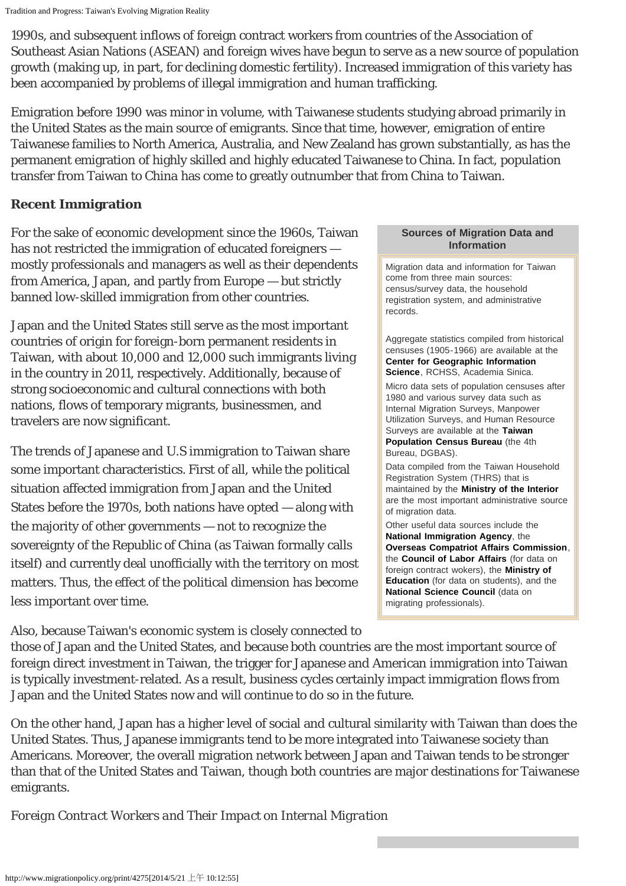1990s, and subsequent inflows of foreign contract workers from countries of the Association of Southeast Asian Nations (ASEAN) and foreign wives have begun to serve as a new source of population growth (making up, in part, for declining domestic fertility). Increased immigration of this variety has been accompanied by problems of illegal immigration and human trafficking.

Emigration before 1990 was minor in volume, with Taiwanese students studying abroad primarily in the United States as the main source of emigrants. Since that time, however, emigration of entire Taiwanese families to North America, Australia, and New Zealand has grown substantially, as has the permanent emigration of highly skilled and highly educated Taiwanese to China. In fact, population transfer from Taiwan to China has come to greatly outnumber that from China to Taiwan.

### **Recent Immigration**

For the sake of economic development since the 1960s, Taiwan has not restricted the immigration of educated foreigners mostly professionals and managers as well as their dependents from America, Japan, and partly from Europe — but strictly banned low-skilled immigration from other countries.

Japan and the United States still serve as the most important countries of origin for foreign-born permanent residents in Taiwan, with about 10,000 and 12,000 such immigrants living in the country in 2011, respectively. Additionally, because of strong socioeconomic and cultural connections with both nations, flows of temporary migrants, businessmen, and travelers are now significant.

The trends of Japanese and U.S immigration to Taiwan share some important characteristics. First of all, while the political situation affected immigration from Japan and the United States before the 1970s, both nations have opted — along with the majority of other governments — not to recognize the sovereignty of the Republic of China (as Taiwan formally calls itself) and currently deal unofficially with the territory on most matters. Thus, the effect of the political dimension has become less important over time.

#### **Sources of Migration Data and Information**

Migration data and information for Taiwan come from three main sources: census/survey data, the household registration system, and administrative records.

Aggregate statistics compiled from historical censuses (1905-1966) are available at the **[Center for Geographic Information](http://gis.rchss.sinica.edu.tw/) [Science](http://gis.rchss.sinica.edu.tw/)**, RCHSS, Academia Sinica.

Micro data sets of population censuses after 1980 and various survey data such as Internal Migration Surveys, Manpower Utilization Surveys, and Human Resource Surveys are available at the **[Taiwan](http://eng.dgbas.gov.tw/mp.asp?mp=2) [Population Census Bureau](http://eng.dgbas.gov.tw/mp.asp?mp=2)** (the 4th Bureau, DGBAS).

Data compiled from the Taiwan Household Registration System (THRS) that is maintained by the **[Ministry of the Interior](http://www.moi.gov.tw/english/index.aspx)** are the most important administrative source of migration data.

Other useful data sources include the **[National Immigration Agency](http://www.immigration.gov.tw/mp.asp?mp=2)**, the **[Overseas Compatriot Affairs Commission](http://www.ocac.gov.tw/english/index.asp)**, the **[Council of Labor Affairs](http://www.cla.gov.tw/cgi-bin/siteMaker/SM_theme?page=48e31c0e)** (for data on foreign contract wokers), the **[Ministry of](http://english.moe.gov.tw/mp.asp?mp=1) [Education](http://english.moe.gov.tw/mp.asp?mp=1)** (for data on students), and the **[National Science Council](http://web1.nsc.gov.tw/mp.aspx?mp=7)** (data on migrating professionals).

Also, because Taiwan's economic system is closely connected to

those of Japan and the United States, and because both countries are the most important source of foreign direct investment in Taiwan, the trigger for Japanese and American immigration into Taiwan is typically investment-related. As a result, business cycles certainly impact immigration flows from Japan and the United States now and will continue to do so in the future.

On the other hand, Japan has a higher level of social and cultural similarity with Taiwan than does the United States. Thus, Japanese immigrants tend to be more integrated into Taiwanese society than Americans. Moreover, the overall migration network between Japan and Taiwan tends to be stronger than that of the United States and Taiwan, though both countries are major destinations for Taiwanese emigrants.

*Foreign Contract Workers and Their Impact on Internal Migration*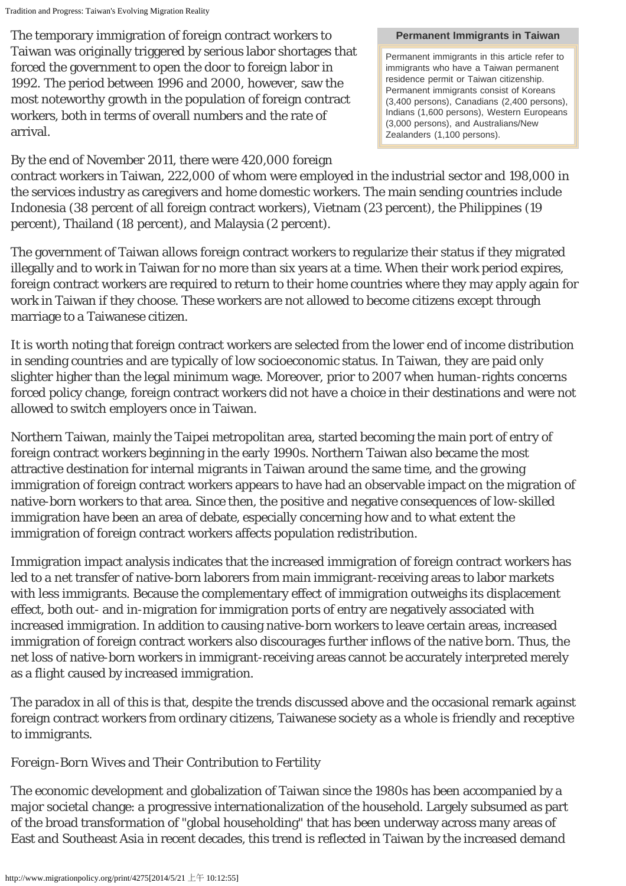The temporary immigration of foreign contract workers to Taiwan was originally triggered by serious labor shortages that forced the government to open the door to foreign labor in 1992. The period between 1996 and 2000, however, saw the most noteworthy growth in the population of foreign contract workers, both in terms of overall numbers and the rate of arrival.

## By the end of November 2011, there were 420,000 foreign

#### **Permanent Immigrants in Taiwan**

Permanent immigrants in this article refer to immigrants who have a Taiwan permanent residence permit or Taiwan citizenship. Permanent immigrants consist of Koreans (3,400 persons), Canadians (2,400 persons), Indians (1,600 persons), Western Europeans (3,000 persons), and Australians/New Zealanders (1,100 persons).

contract workers in Taiwan, 222,000 of whom were employed in the industrial sector and 198,000 in the services industry as caregivers and home domestic workers. The main sending countries include Indonesia (38 percent of all foreign contract workers), Vietnam (23 percent), the Philippines (19 percent), Thailand (18 percent), and Malaysia (2 percent).

The government of Taiwan allows foreign contract workers to regularize their status if they migrated illegally and to work in Taiwan for no more than six years at a time. When their work period expires, foreign contract workers are required to return to their home countries where they may apply again for work in Taiwan if they choose. These workers are not allowed to become citizens except through marriage to a Taiwanese citizen.

It is worth noting that foreign contract workers are selected from the lower end of income distribution in sending countries and are typically of low socioeconomic status. In Taiwan, they are paid only slighter higher than the legal minimum wage. Moreover, prior to 2007 when human-rights concerns forced policy change, foreign contract workers did not have a choice in their destinations and were not allowed to switch employers once in Taiwan.

Northern Taiwan, mainly the Taipei metropolitan area, started becoming the main port of entry of foreign contract workers beginning in the early 1990s. Northern Taiwan also became the most attractive destination for internal migrants in Taiwan around the same time, and the growing immigration of foreign contract workers appears to have had an observable impact on the migration of native-born workers to that area. Since then, the positive and negative consequences of low-skilled immigration have been an area of debate, especially concerning how and to what extent the immigration of foreign contract workers affects population redistribution.

Immigration impact analysis indicates that the increased immigration of foreign contract workers has led to a net transfer of native-born laborers from main immigrant-receiving areas to labor markets with less immigrants. Because the complementary effect of immigration outweighs its displacement effect, both out- and in-migration for immigration ports of entry are negatively associated with increased immigration. In addition to causing native-born workers to leave certain areas, increased immigration of foreign contract workers also discourages further inflows of the native born. Thus, the net loss of native-born workers in immigrant-receiving areas cannot be accurately interpreted merely as a flight caused by increased immigration.

The paradox in all of this is that, despite the trends discussed above and the occasional remark against foreign contract workers from ordinary citizens, Taiwanese society as a whole is friendly and receptive to immigrants.

## *Foreign-Born Wives and Their Contribution to Fertility*

The economic development and globalization of Taiwan since the 1980s has been accompanied by a major societal change: a progressive internationalization of the household. Largely subsumed as part of the broad transformation of "global householding" that has been underway across many areas of East and Southeast Asia in recent decades, this trend is reflected in Taiwan by the increased demand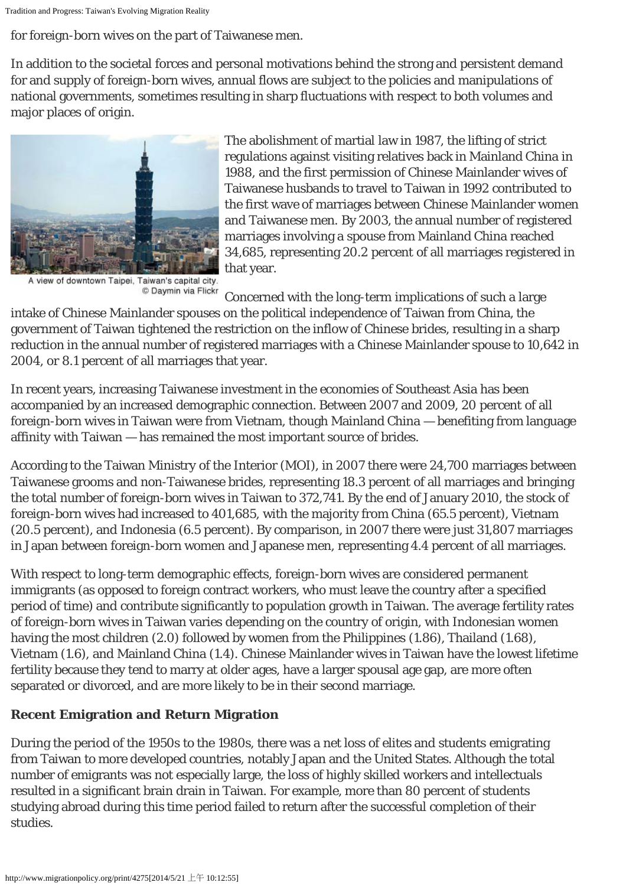Tradition and Progress: Taiwan's Evolving Migration Reality

for foreign-born wives on the part of Taiwanese men.

In addition to the societal forces and personal motivations behind the strong and persistent demand for and supply of foreign-born wives, annual flows are subject to the policies and manipulations of national governments, sometimes resulting in sharp fluctuations with respect to both volumes and major places of origin.



A view of downtown Taipei, Taiwan's capital city. C Daymin via Flickr

The abolishment of martial law in 1987, the lifting of strict regulations against visiting relatives back in Mainland China in 1988, and the first permission of Chinese Mainlander wives of Taiwanese husbands to travel to Taiwan in 1992 contributed to the first wave of marriages between Chinese Mainlander women and Taiwanese men. By 2003, the annual number of registered marriages involving a spouse from Mainland China reached 34,685, representing 20.2 percent of all marriages registered in that year.

Concerned with the long-term implications of such a large

intake of Chinese Mainlander spouses on the political independence of Taiwan from China, the government of Taiwan tightened the restriction on the inflow of Chinese brides, resulting in a sharp reduction in the annual number of registered marriages with a Chinese Mainlander spouse to 10,642 in 2004, or 8.1 percent of all marriages that year.

In recent years, increasing Taiwanese investment in the economies of Southeast Asia has been accompanied by an increased demographic connection. Between 2007 and 2009, 20 percent of all foreign-born wives in Taiwan were from Vietnam, though Mainland China — benefiting from language affinity with Taiwan — has remained the most important source of brides.

According to the Taiwan Ministry of the Interior (MOI), in 2007 there were 24,700 marriages between Taiwanese grooms and non-Taiwanese brides, representing 18.3 percent of all marriages and bringing the total number of foreign-born wives in Taiwan to 372,741. By the end of January 2010, the stock of foreign-born wives had increased to 401,685, with the majority from China (65.5 percent), Vietnam (20.5 percent), and Indonesia (6.5 percent). By comparison, in 2007 there were just 31,807 marriages in Japan between foreign-born women and Japanese men, representing 4.4 percent of all marriages.

With respect to long-term demographic effects, foreign-born wives are considered permanent immigrants (as opposed to foreign contract workers, who must leave the country after a specified period of time) and contribute significantly to population growth in Taiwan. The average fertility rates of foreign-born wives in Taiwan varies depending on the country of origin, with Indonesian women having the most children (2.0) followed by women from the Philippines (1.86), Thailand (1.68), Vietnam (1.6), and Mainland China (1.4). Chinese Mainlander wives in Taiwan have the lowest lifetime fertility because they tend to marry at older ages, have a larger spousal age gap, are more often separated or divorced, and are more likely to be in their second marriage.

# **Recent Emigration and Return Migration**

During the period of the 1950s to the 1980s, there was a net loss of elites and students emigrating from Taiwan to more developed countries, notably Japan and the United States. Although the total number of emigrants was not especially large, the loss of highly skilled workers and intellectuals resulted in a significant brain drain in Taiwan. For example, more than 80 percent of students studying abroad during this time period failed to return after the successful completion of their studies.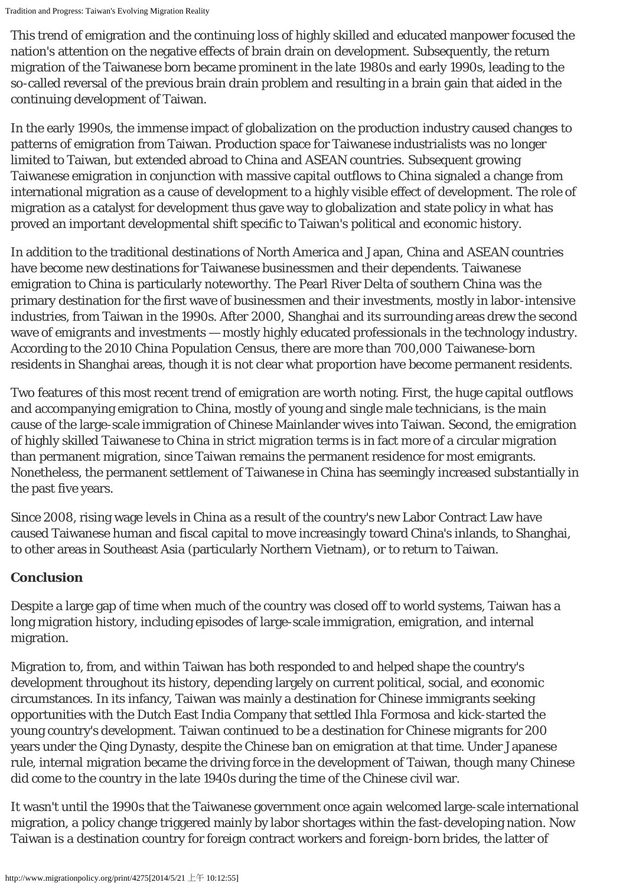This trend of emigration and the continuing loss of highly skilled and educated manpower focused the nation's attention on the negative effects of brain drain on development. Subsequently, the return migration of the Taiwanese born became prominent in the late 1980s and early 1990s, leading to the so-called reversal of the previous brain drain problem and resulting in a brain gain that aided in the continuing development of Taiwan.

In the early 1990s, the immense impact of globalization on the production industry caused changes to patterns of emigration from Taiwan. Production space for Taiwanese industrialists was no longer limited to Taiwan, but extended abroad to China and ASEAN countries. Subsequent growing Taiwanese emigration in conjunction with massive capital outflows to China signaled a change from international migration as a cause of development to a highly visible effect of development. The role of migration as a catalyst for development thus gave way to globalization and state policy in what has proved an important developmental shift specific to Taiwan's political and economic history.

In addition to the traditional destinations of North America and Japan, China and ASEAN countries have become new destinations for Taiwanese businessmen and their dependents. Taiwanese emigration to China is particularly noteworthy. The Pearl River Delta of southern China was the primary destination for the first wave of businessmen and their investments, mostly in labor-intensive industries, from Taiwan in the 1990s. After 2000, Shanghai and its surrounding areas drew the second wave of emigrants and investments — mostly highly educated professionals in the technology industry. According to the 2010 China Population Census, there are more than 700,000 Taiwanese-born residents in Shanghai areas, though it is not clear what proportion have become permanent residents.

Two features of this most recent trend of emigration are worth noting. First, the huge capital outflows and accompanying emigration to China, mostly of young and single male technicians, is the main cause of the large-scale immigration of Chinese Mainlander wives into Taiwan. Second, the emigration of highly skilled Taiwanese to China in strict migration terms is in fact more of a circular migration than permanent migration, since Taiwan remains the permanent residence for most emigrants. Nonetheless, the permanent settlement of Taiwanese in China has seemingly increased substantially in the past five years.

Since 2008, rising wage levels in China as a result of the country's new Labor Contract Law have caused Taiwanese human and fiscal capital to move increasingly toward China's inlands, to Shanghai, to other areas in Southeast Asia (particularly Northern Vietnam), or to return to Taiwan.

## **Conclusion**

Despite a large gap of time when much of the country was closed off to world systems, Taiwan has a long migration history, including episodes of large-scale immigration, emigration, and internal migration.

Migration to, from, and within Taiwan has both responded to and helped shape the country's development throughout its history, depending largely on current political, social, and economic circumstances. In its infancy, Taiwan was mainly a destination for Chinese immigrants seeking opportunities with the Dutch East India Company that settled *Ihla Formosa* and kick-started the young country's development. Taiwan continued to be a destination for Chinese migrants for 200 years under the Qing Dynasty, despite the Chinese ban on emigration at that time. Under Japanese rule, internal migration became the driving force in the development of Taiwan, though many Chinese did come to the country in the late 1940s during the time of the Chinese civil war.

It wasn't until the 1990s that the Taiwanese government once again welcomed large-scale international migration, a policy change triggered mainly by labor shortages within the fast-developing nation. Now Taiwan is a destination country for foreign contract workers and foreign-born brides, the latter of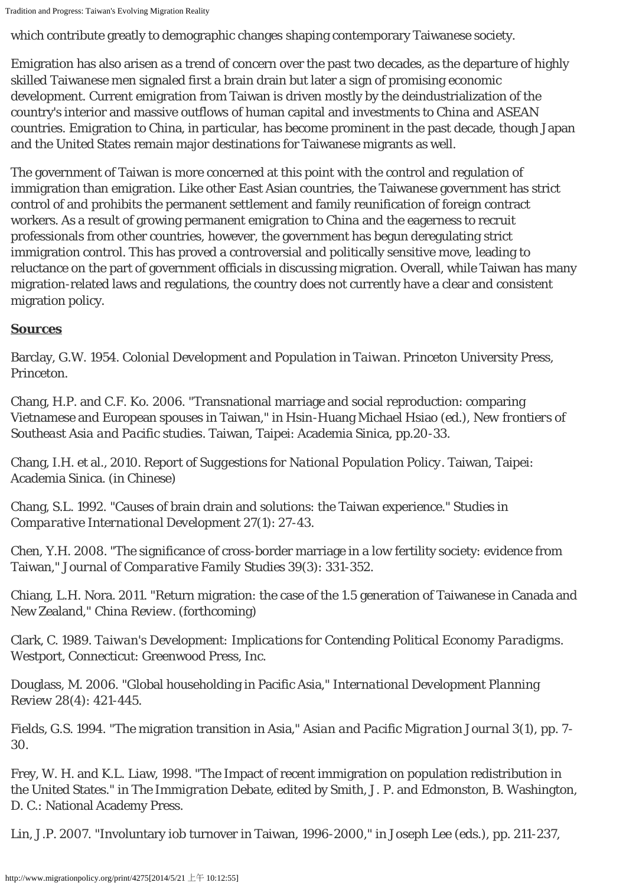which contribute greatly to demographic changes shaping contemporary Taiwanese society.

Emigration has also arisen as a trend of concern over the past two decades, as the departure of highly skilled Taiwanese men signaled first a brain drain but later a sign of promising economic development. Current emigration from Taiwan is driven mostly by the deindustrialization of the country's interior and massive outflows of human capital and investments to China and ASEAN countries. Emigration to China, in particular, has become prominent in the past decade, though Japan and the United States remain major destinations for Taiwanese migrants as well.

The government of Taiwan is more concerned at this point with the control and regulation of immigration than emigration. Like other East Asian countries, the Taiwanese government has strict control of and prohibits the permanent settlement and family reunification of foreign contract workers. As a result of growing permanent emigration to China and the eagerness to recruit professionals from other countries, however, the government has begun deregulating strict immigration control. This has proved a controversial and politically sensitive move, leading to reluctance on the part of government officials in discussing migration. Overall, while Taiwan has many migration-related laws and regulations, the country does not currently have a clear and consistent migration policy.

## **Sources**

Barclay, G.W. 1954. *Colonial Development and Population in Taiwan*. Princeton University Press, Princeton.

Chang, H.P. and C.F. Ko. 2006. "Transnational marriage and social reproduction: comparing Vietnamese and European spouses in Taiwan," in Hsin-Huang Michael Hsiao (ed.), *New frontiers of Southeast Asia and Pacific studies*. Taiwan, Taipei: Academia Sinica, pp.20-33.

Chang, I.H. et al., 2010. *Report of Suggestions for National Population Policy*. Taiwan, Taipei: Academia Sinica. (in Chinese)

Chang, S.L. 1992. "Causes of brain drain and solutions: the Taiwan experience." *Studies in Comparative International Development* 27(1): 27-43.

Chen, Y.H. 2008. "The significance of cross-border marriage in a low fertility society: evidence from Taiwan," *Journal of Comparative Family Studies* 39(3): 331-352.

Chiang, L.H. Nora. 2011. "Return migration: the case of the 1.5 generation of Taiwanese in Canada and New Zealand," *China Review*. (forthcoming)

Clark, C. 1989. *Taiwan's Development: Implications for Contending Political Economy Paradigms*. Westport, Connecticut: Greenwood Press, Inc.

Douglass, M. 2006. "Global householding in Pacific Asia," *International Development Planning Review* 28(4): 421-445.

Fields, G.S. 1994. "The migration transition in Asia," *Asian and Pacific Migration Journal* 3(1), pp. 7- 30.

Frey, W. H. and K.L. Liaw, 1998. "The Impact of recent immigration on population redistribution in the United States." in *The Immigration Debate*, edited by Smith, J. P. and Edmonston, B. Washington, D. C.: National Academy Press.

Lin, J.P. 2007. "Involuntary iob turnover in Taiwan, 1996-2000," in Joseph Lee (eds.), pp. 211-237,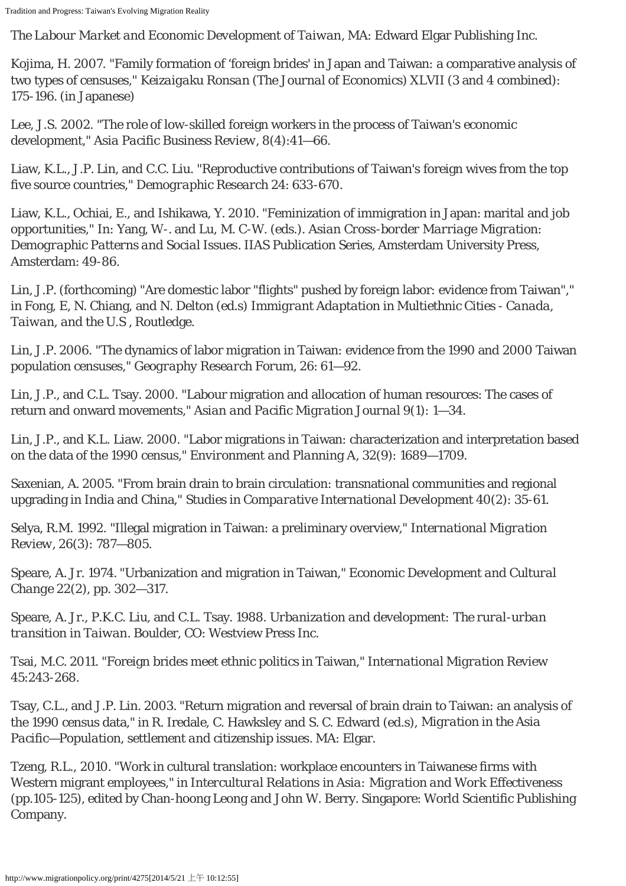*The Labour Market and Economic Development of Taiwan*, MA: Edward Elgar Publishing Inc.

Kojima, H. 2007. "Family formation of 'foreign brides' in Japan and Taiwan: a comparative analysis of two types of censuses," *Keizaigaku Ronsan (The Journal of Economics)* XLVII (3 and 4 combined): 175-196. (in Japanese)

Lee, J.S. 2002. "The role of low-skilled foreign workers in the process of Taiwan's economic development," *Asia Pacific Business Review*, 8(4):41—66.

Liaw, K.L., J.P. Lin, and C.C. Liu. "Reproductive contributions of Taiwan's foreign wives from the top five source countries," *Demographic Research* 24: 633-670.

Liaw, K.L., Ochiai, E., and Ishikawa, Y. 2010. "Feminization of immigration in Japan: marital and job opportunities," In: Yang, W-. and Lu, M. C-W. (eds.). *Asian Cross-border Marriage Migration: Demographic Patterns and Social Issues*. IIAS Publication Series, Amsterdam University Press, Amsterdam: 49-86.

Lin, J.P. (forthcoming) "Are domestic labor "flights" pushed by foreign labor: evidence from Taiwan"," in Fong, E, N. Chiang, and N. Delton (ed.s) *Immigrant Adaptation in Multiethnic Cities - Canada, Taiwan, and the U.S* , Routledge.

Lin, J.P. 2006. "The dynamics of labor migration in Taiwan: evidence from the 1990 and 2000 Taiwan population censuses," *Geography Research Forum*, 26: 61—92.

Lin, J.P., and C.L. Tsay. 2000. "Labour migration and allocation of human resources: The cases of return and onward movements," *Asian and Pacific Migration Journal* 9(1): 1—34.

Lin, J.P., and K.L. Liaw. 2000. "Labor migrations in Taiwan: characterization and interpretation based on the data of the 1990 census," *Environment and Planning A*, 32(9): 1689—1709.

Saxenian, A. 2005. "From brain drain to brain circulation: transnational communities and regional upgrading in India and China," *Studies in Comparative International Development* 40(2): 35-61.

Selya, R.M. 1992. "Illegal migration in Taiwan: a preliminary overview," *International Migration Review*, 26(3): 787—805.

Speare, A. Jr. 1974. "Urbanization and migration in Taiwan," *Economic Development and Cultural Change* 22(2), pp. 302—317.

Speare, A. Jr., P.K.C. Liu, and C.L. Tsay. 1988. *Urbanization and development: The rural-urban transition in Taiwan*. Boulder, CO: Westview Press Inc.

Tsai, M.C. 2011. "Foreign brides meet ethnic politics in Taiwan," *International Migration Review* 45:243-268.

Tsay, C.L., and J.P. Lin. 2003. "Return migration and reversal of brain drain to Taiwan: an analysis of the 1990 census data," in R. Iredale, C. Hawksley and S. C. Edward (ed.s), *Migration in the Asia Pacific—Population, settlement and citizenship issues*. MA: Elgar.

Tzeng, R.L., 2010. "Work in cultural translation: workplace encounters in Taiwanese firms with Western migrant employees," in *Intercultural Relations in Asia: Migration and Work Effectiveness* (pp.105-125), edited by Chan-hoong Leong and John W. Berry. Singapore: World Scientific Publishing Company.